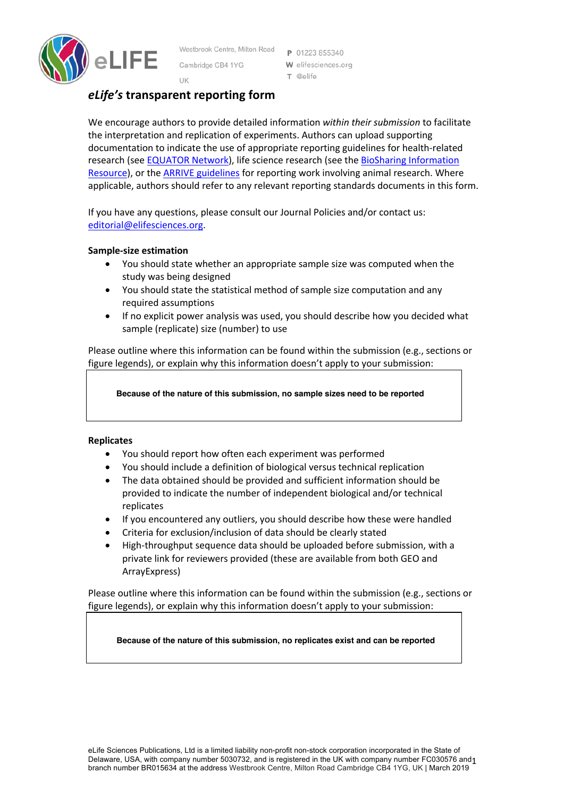

Westbrook Centre, Milton Road Cambridge CB4 1YG

P 01223 855340 W elifesciences.org T @elife

# UK *eLife's* **transparent reporting form**

We encourage authors to provide detailed information *within their submission* to facilitate the interpretation and replication of experiments. Authors can upload supporting documentation to indicate the use of appropriate reporting guidelines for health-related research (see **EQUATOR Network**), life science research (see the **BioSharing Information** Resource), or the ARRIVE guidelines for reporting work involving animal research. Where applicable, authors should refer to any relevant reporting standards documents in this form.

If you have any questions, please consult our Journal Policies and/or contact us: editorial@elifesciences.org.

## **Sample-size estimation**

- You should state whether an appropriate sample size was computed when the study was being designed
- You should state the statistical method of sample size computation and any required assumptions
- If no explicit power analysis was used, you should describe how you decided what sample (replicate) size (number) to use

Please outline where this information can be found within the submission (e.g., sections or figure legends), or explain why this information doesn't apply to your submission:

**Because of the nature of this submission, no sample sizes need to be reported**

### **Replicates**

- You should report how often each experiment was performed
- You should include a definition of biological versus technical replication
- The data obtained should be provided and sufficient information should be provided to indicate the number of independent biological and/or technical replicates
- If you encountered any outliers, you should describe how these were handled
- Criteria for exclusion/inclusion of data should be clearly stated
- High-throughput sequence data should be uploaded before submission, with a private link for reviewers provided (these are available from both GEO and ArrayExpress)

Please outline where this information can be found within the submission (e.g., sections or figure legends), or explain why this information doesn't apply to your submission:

**Because of the nature of this submission, no replicates exist and can be reported**